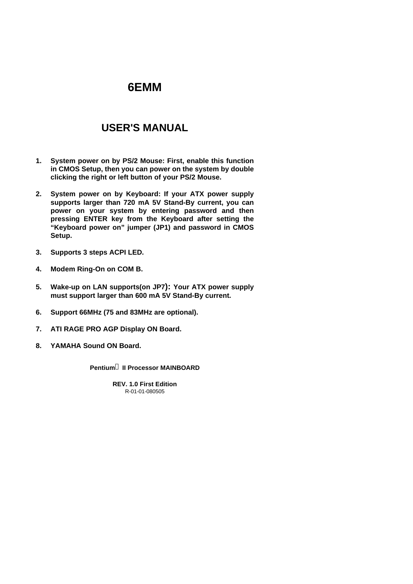## **USER'S MANUAL**

- **1. System power on by PS/2 Mouse: First, enable this function in CMOS Setup, then you can power on the system by double clicking the right or left button of your PS/2 Mouse.**
- **2. System power on by Keyboard: If your ATX power supply supports larger than 720 mA 5V Stand-By current, you can power on your system by entering password and then pressing ENTER key from the Keyboard after setting the "Keyboard power on" jumper (JP1) and password in CMOS Setup.**
- **3. Supports 3 steps ACPI LED.**
- **4. Modem Ring-On on COM B.**
- **5. Wake-up on LAN supports(on JP7): Your ATX power supply must support larger than 600 mA 5V Stand-By current.**
- **6. Support 66MHz (75 and 83MHz are optional).**
- **7. ATI RAGE PRO AGP Display ON Board.**
- **8. YAMAHA Sound ON Board.**

**Pentiumâ II Processor MAINBOARD**

R-01-01-080505 **REV. 1.0 First Edition**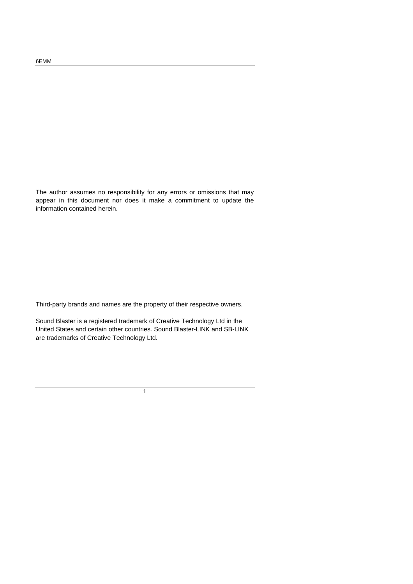The author assumes no responsibility for any errors or omissions that may appear in this document nor does it make a commitment to update the information contained herein.

Third-party brands and names are the property of their respective owners.

Sound Blaster is a registered trademark of Creative Technology Ltd in the United States and certain other countries. Sound Blaster-LINK and SB-LINK are trademarks of Creative Technology Ltd.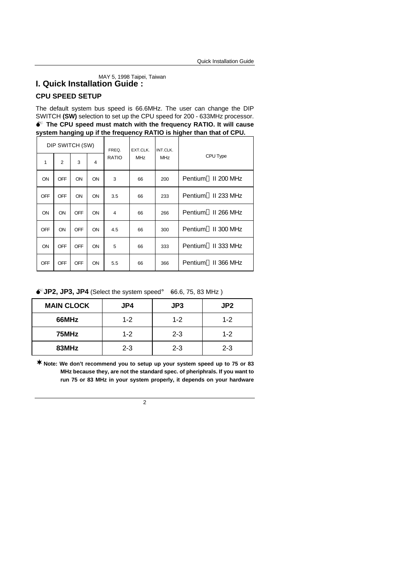# MAY 5, 1998 Taipei, Taiwan **I. Quick Installation Guide :**

### **CPU SPEED SETUP**

The default system bus speed is 66.6MHz. The user can change the DIP SWITCH **(SW)** selection to set up the CPU speed for 200 - 633MHz processor.  $\bullet^*$  The CPU speed must match with the frequency RATIO. It will cause **system hanging up if the frequency RATIO is higher than that of CPU.**

| DIP SWITCH (SW) |                |            |                         | FREQ.        | EXT.CLK.   | INT.CLK.   |                                 |
|-----------------|----------------|------------|-------------------------|--------------|------------|------------|---------------------------------|
| 1               | $\overline{2}$ | 3          | $\overline{\mathbf{4}}$ | <b>RATIO</b> | <b>MHz</b> | <b>MHz</b> | CPU Type                        |
| ON              | <b>OFF</b>     | ON         | <b>ON</b>               | 3            | 66         | 200        | Pentium <sup>®</sup> II 200 MHz |
| <b>OFF</b>      | <b>OFF</b>     | ON         | <b>ON</b>               | 3.5          | 66         | 233        | Pentium <sup>®</sup> II 233 MHz |
| ON              | ON             | OFF        | <b>ON</b>               | 4            | 66         | 266        | Pentium <sup>®</sup> II 266 MHz |
| <b>OFF</b>      | ON             | <b>OFF</b> | <b>ON</b>               | 4.5          | 66         | 300        | Pentium <sup>®</sup> II 300 MHz |
| ON              | OFF            | OFF        | ON                      | 5            | 66         | 333        | Pentium <sup>®</sup> II 333 MHz |
| <b>OFF</b>      | <b>OFF</b>     | <b>OFF</b> | ON                      | 5.5          | 66         | 366        | Pentium <sup>®</sup> II 366 MHz |

 $\bullet$  JP2, JP3, JP4 (Select the system speed; 666.6, 75, 83 MHz)

| <b>MAIN CLOCK</b> | JP4     | JP3     | JP <sub>2</sub> |
|-------------------|---------|---------|-----------------|
| 66MHz             | $1 - 2$ | $1 - 2$ | $1 - 2$         |
| 75MHz             | $1 - 2$ | $2 - 3$ | $1 - 2$         |
| 83MHz             | $2 - 3$ | $2 - 3$ | $2 - 3$         |

**¨Note: We don't recommend you to setup up your system speed up to 75 or 83 MHz because they, are not the standard spec. of pheriphrals. If you want to run 75 or 83 MHz in your system properly, it depends on your hardware**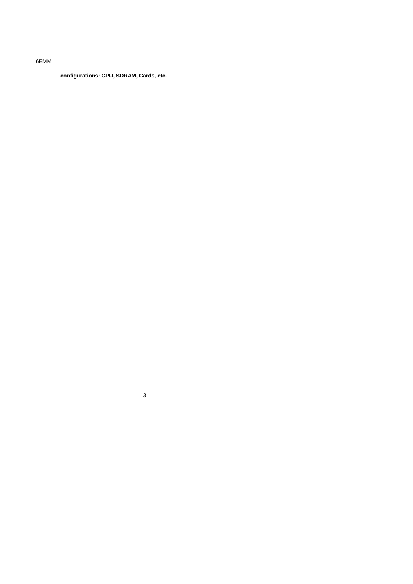**configurations: CPU, SDRAM, Cards, etc.**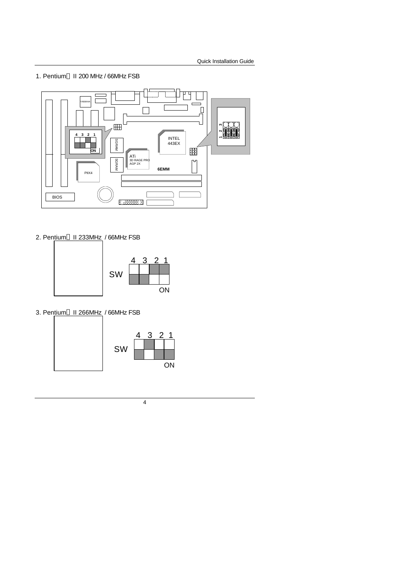1. Pentium® II 200 MHz / 66MHz FSB



2. Pentium<sup>®</sup> II 233MHz / 66MHz FSB



3. Pentium<sup>®</sup> II 266MHz / 66MHz FSB

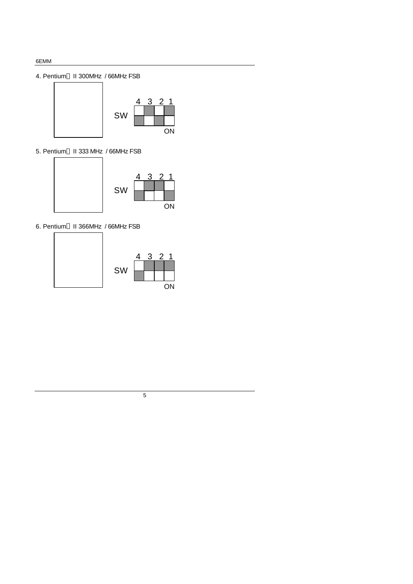### 4. Pentium® II 300MHz / 66MHz FSB



5. Pentium® II 333 MHz / 66MHz FSB



6. Pentium<sup>®</sup> II 366MHz / 66MHz FSB



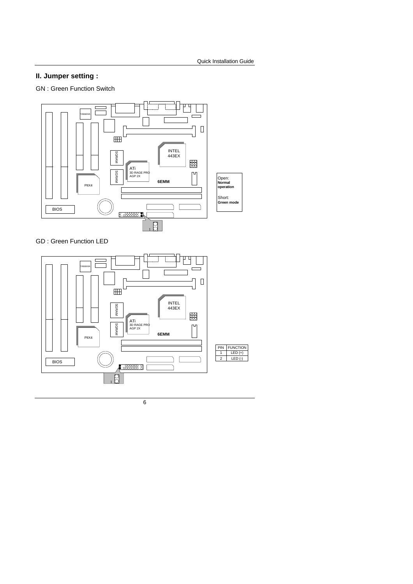### **II. Jumper setting :**

GN : Green Function Switch



GD : Green Function LED

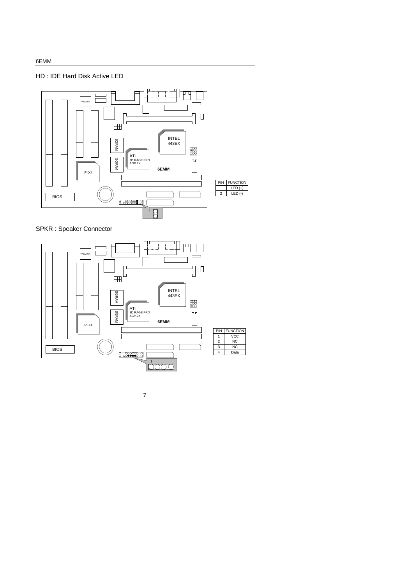### HD : IDE Hard Disk Active LED



SPKR : Speaker Connector

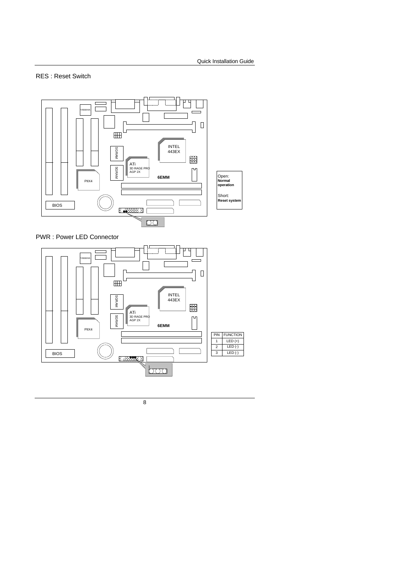### RES : Reset Switch



PWR : Power LED Connector

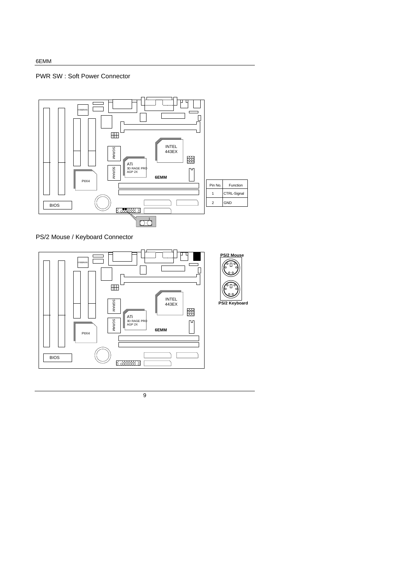### PWR SW : Soft Power Connector



PS/2 Mouse / Keyboard Connector

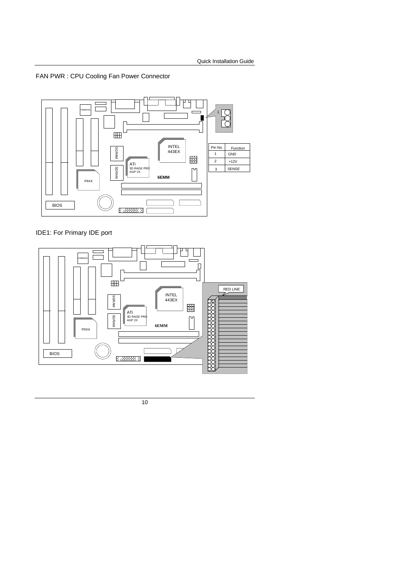### FAN PWR : CPU Cooling Fan Power Connector



### IDE1: For Primary IDE port

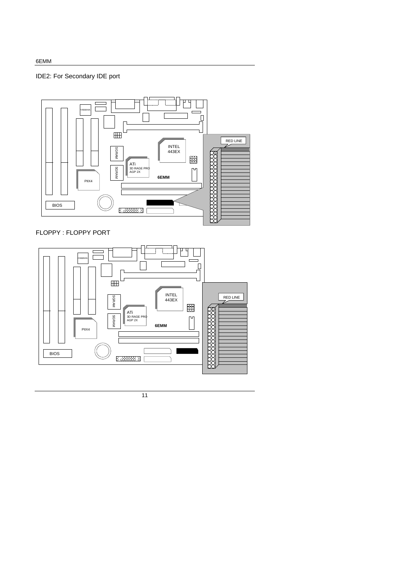IDE2: For Secondary IDE port



FLOPPY : FLOPPY PORT

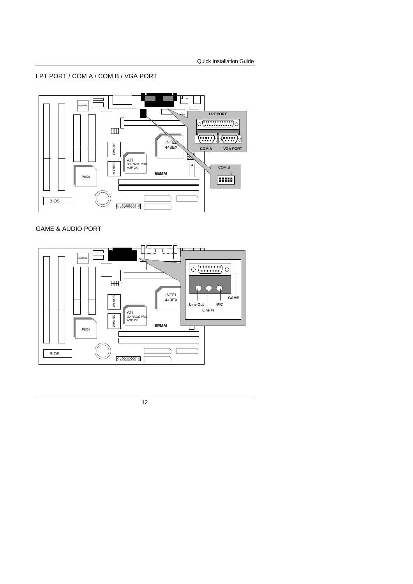LPT PORT / COM A / COM B / VGA PORT



### GAME & AUDIO PORT

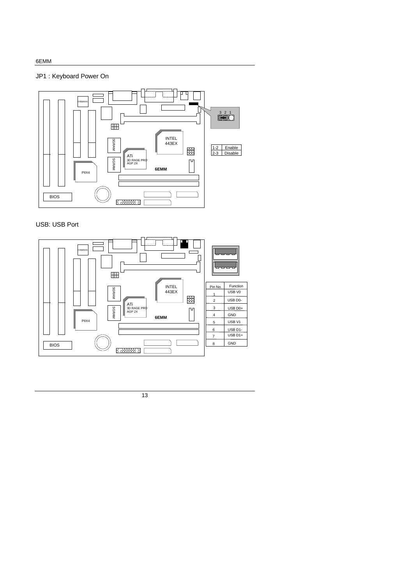### JP1 : Keyboard Power On



### USB: USB Port

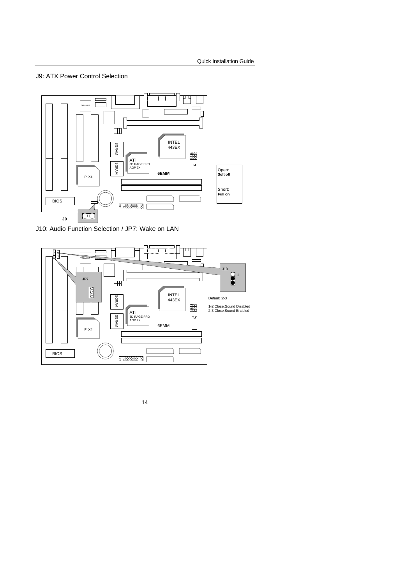### J9: ATX Power Control Selection



J10: Audio Function Selection / JP7: Wake on LAN

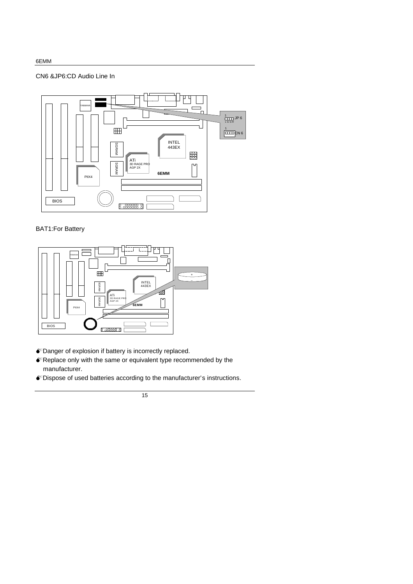### CN6 &JP6:CD Audio Line In



### BAT1:For Battery



- $\bullet$  Danger of explosion if battery is incorrectly replaced.
- $\bullet$  Replace only with the same or equivalent type recommended by the manufacturer.
- MDispose of used batteries according to the manufacturer's instructions.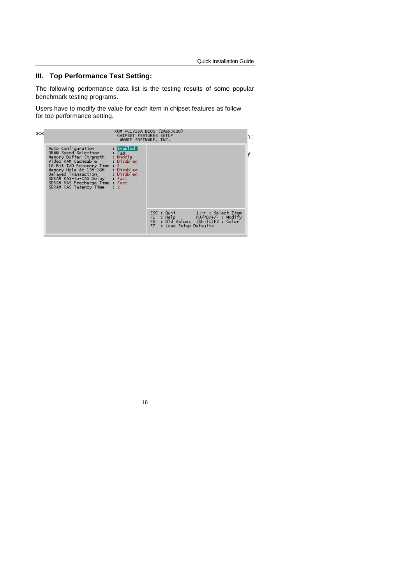### **III. Top Performance Test Setting:**

The following performance data list is the testing results of some popular benchmark testing programs.

Users have to modify the value for each item in chipset features as follow for top performance setting.